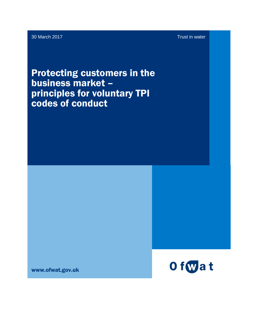30 March 2017 Trust in water

Protecting customers in the business market – principles for voluntary TPI codes of conduct

www.ofwat.gov.uk

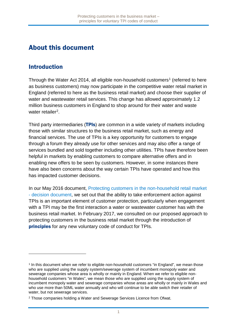### About this document

#### Introduction

 $\overline{a}$ 

Through the Water Act 20[1](#page-1-0)4, all eligible non-household customers<sup>1</sup> (referred to here as business customers) may now participate in the competitive water retail market in England (referred to here as the business retail market) and choose their supplier of water and wastewater retail services. This change has allowed approximately 1.2 million business customers in England to shop around for their water and waste water retailer<sup>[2](#page-1-1)</sup>.

Third party intermediaries (TPIs) are common in a wide variety of markets including those with similar structures to the business retail market, such as energy and financial services. The use of TPIs is a key opportunity for customers to engage through a forum they already use for other services and may also offer a range of services bundled and sold together including other utilities. TPIs have therefore been helpful in markets by enabling customers to compare alternative offers and in enabling new offers to be seen by customers. However, in some instances there have also been concerns about the way certain TPIs have operated and how this has impacted customer decisions.

In our May 2016 document, Protecting customers in the [non-household](https://9208a6bdb79020ec0337-99614e491dc8efff25f017339872a32a.ssl.cf3.rackcdn.com/wp-content/uploads/2016/03/pap_pos20160519rmocustprot.pdf) retail market - decision [document,](https://9208a6bdb79020ec0337-99614e491dc8efff25f017339872a32a.ssl.cf3.rackcdn.com/wp-content/uploads/2016/03/pap_pos20160519rmocustprot.pdf) we set out that the ability to take enforcement action against TPIs is an important element of customer protection, particularly when engagement with a TPI may be the first interaction a water or wastewater customer has with the business retail market. In February 2017, we consulted on our proposed approach to protecting customers in the business retail market through the introduction of principles for any new voluntary code of conduct for TPIs.

<span id="page-1-0"></span><sup>1</sup> In this document when we refer to eligible non-household customers "in England", we mean those who are supplied using the supply system/sewerage system of incumbent monopoly water and sewerage companies whose area is wholly or mainly in England. When we refer to eligible nonhousehold customers "in Wales", we mean those who are supplied using the supply system of incumbent monopoly water and sewerage companies whose areas are wholly or mainly in Wales and who use more than 50ML water annually and who will continue to be able switch their retailer of water, but not sewerage services.

<span id="page-1-1"></span><sup>2</sup> Those companies holding a Water and Sewerage Services Licence from Ofwat.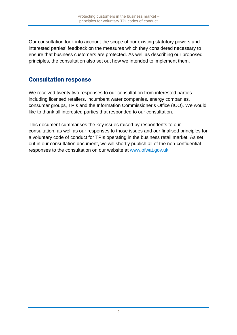Our consultation took into account the scope of our existing statutory powers and interested parties' feedback on the measures which they considered necessary to ensure that business customers are protected. As well as describing our proposed principles, the consultation also set out how we intended to implement them.

#### Consultation response

We received twenty two responses to our consultation from interested parties including licensed retailers, incumbent water companies, energy companies, consumer groups, TPIs and the Information Commissioner's Office (ICO). We would like to thank all interested parties that responded to our consultation.

This document summarises the key issues raised by respondents to our consultation, as well as our responses to those issues and our finalised principles for a voluntary code of conduct for TPIs operating in the business retail market. As set out in our consultation document, we will shortly publish all of the non-confidential responses to the consultation on our website at [www.ofwat.gov.uk.](http://www.ofwat.gov.uk/)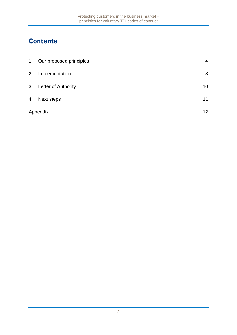# **Contents**

| $\mathbf 1$    | Our proposed principles | 4  |
|----------------|-------------------------|----|
| $\overline{2}$ | Implementation          | 8  |
| 3 <sup>1</sup> | Letter of Authority     | 10 |
| 4              | Next steps              | 11 |
|                | Appendix                |    |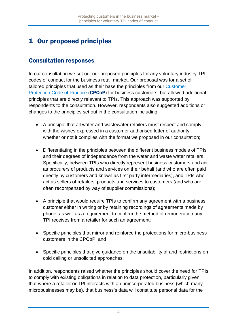## <span id="page-4-0"></span>1 Our proposed principles

#### Consultation responses

In our consultation we set out our proposed principles for any voluntary industry TPI codes of conduct for the business retail market. Our proposal was for a set of tailored principles that used as their base the principles from our [Customer](http://www.ofwat.gov.uk/customer-protection-final-code-practice-non-household-retailers/) [Protection](http://www.ofwat.gov.uk/customer-protection-final-code-practice-non-household-retailers/) Code of Practice (CPCoP) for business customers, but allowed additional principles that are directly relevant to TPIs. This approach was supported by respondents to the consultation. However, respondents also suggested additions or changes to the principles set out in the consultation including:

- A principle that all water and wastewater retailers must respect and comply with the wishes expressed in a customer authorised letter of authority, whether or not it complies with the format we proposed in our consultation;
- Differentiating in the principles between the different business models of TPIs and their degrees of independence from the water and waste water retailers. Specifically, between TPIs who directly represent business customers and act as procurers of products and services on their behalf (and who are often paid directly by customers and known as first party intermediaries), and TPIs who act as sellers of retailers' products and services to customers (and who are often recompensed by way of supplier commissions);
- A principle that would require TPIs to confirm any agreement with a business customer either in writing or by retaining recordings of agreements made by phone, as well as a requirement to confirm the method of remuneration any TPI receives from a retailer for such an agreement;
- Specific principles that mirror and reinforce the protections for micro-business customers in the CPCoP; and
- Specific principles that give guidance on the unsuitability of and restrictions on cold calling or unsolicited approaches.

In addition, respondents raised whether the principles should cover the need for TPIs to comply with existing obligations in relation to data protection, particularly given that where a retailer or TPI interacts with an unincorporated business (which many microbusinesses may be), that business's data will constitute personal data for the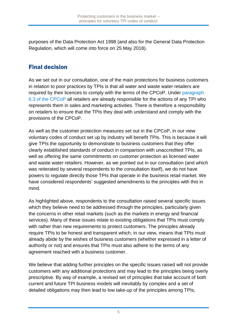purposes of the Data Protection Act 1998 (and also for the General Data Protection Regulation, which will come into force on 25 May 2018).

### Final decision

As we set out in our consultation, one of the main protections for business customers in relation to poor practices by TPIs is that all water and waste water retailers are required by their licences to comply with the terms of the CPCoP. Under [paragraph](http://www.ofwat.gov.uk/wp-content/uploads/2017/03/Customer-Protection-Code-of-Practice.pdf) 6.3 of the [CPCoP](http://www.ofwat.gov.uk/wp-content/uploads/2017/03/Customer-Protection-Code-of-Practice.pdf) all retailers are already responsible for the actions of any TPI who represents them in sales and marketing activities. There is therefore a responsibility on retailers to ensure that the TPIs they deal with understand and comply with the provisions of the CPCoP.

As well as the customer protection measures set out in the CPCoP, in our view voluntary codes of conduct set up by industry will benefit TPIs. This is because it will give TPIs the opportunity to demonstrate to business customers that they offer clearly established standards of conduct in comparison with unaccredited TPIs, as well as offering the same commitments on customer protection as licensed water and waste water retailers. However, as we pointed out in our consultation (and which was reiterated by several respondents to the consultation itself), we do not have powers to regulate directly those TPIs that operate in the business retail market. We have considered respondents' suggested amendments to the principles with this in mind.

As highlighted above, respondents to the consultation raised several specific issues which they believe need to be addressed through the principles, particularly given the concerns in other retail markets (such as the markets in energy and financial services). Many of these issues relate to existing obligations that TPIs must comply with rather than new requirements to protect customers. The principles already require TPIs to be honest and transparent which, in our view, means that TPIs must already abide by the wishes of business customers (whether expressed in a letter of authority or not) and ensures that TPIs must also adhere to the terms of any agreement reached with a business customer.

We believe that adding further principles on the specific issues raised will not provide customers with any additional protections and may lead to the principles being overly prescriptive. By way of example, a revised set of principles that take account of both current and future TPI business models will inevitably by complex and a set of detailed obligations may then lead to low take-up of the principles among TPIs,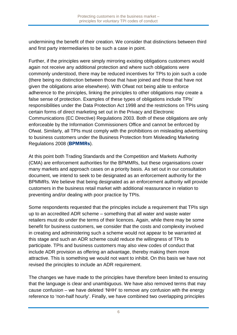undermining the benefit of their creation. We consider that distinctions between third and first party intermediaries to be such a case in point.

Further, if the principles were simply mirroring existing obligations customers would again not receive any additional protection and where such obligations were commonly understood, there may be reduced incentives for TPIs to join such a code (there being no distinction between those that have joined and those that have not given the obligations arise elsewhere). With Ofwat not being able to enforce adherence to the principles, linking the principles to other obligations may create a false sense of protection. Examples of these types of obligations include TPIs' responsibilities under the Data Protection Act 1998 and the restrictions on TPIs using certain forms of direct marketing set out in the Privacy and Electronic Communications (EC Directive) Regulations 2003. Both of these obligations are only enforceable by the Information Commissioners Office and cannot be enforced by Ofwat. Similarly, all TPIs must comply with the prohibitions on misleading advertising to business customers under the Business Protection from Misleading Marketing Regulations 2008 (BPMMRs).

At this point both Trading Standards and the Competition and Markets Authority (CMA) are enforcement authorities for the BPMMRs, but these organisations cover many markets and approach cases on a priority basis. As set out in our consultation document, we intend to seek to be designated as an enforcement authority for the BPMMRs. We believe that being designated as an enforcement authority will provide customers in the business retail market with additional reassurance in relation to preventing and/or dealing with poor practice by TPIs.

Some respondents requested that the principles include a requirement that TPIs sign up to an accredited ADR scheme – something that all water and waste water retailers must do under the terms of their licences. Again, while there may be some benefit for business customers, we consider that the costs and complexity involved in creating and administering such a scheme would not appear to be warranted at this stage and such an ADR scheme could reduce the willingness of TPIs to participate. TPIs and business customers may also view codes of conduct that include ADR provision as offering an advantage, thereby making them more attractive. This is something we would not want to inhibit. On this basis we have not revised the principles to include an ADR requirement.

The changes we have made to the principles have therefore been limited to ensuring that the language is clear and unambiguous. We have also removed terms that may cause confusion – we have deleted 'NHH' to remove any confusion with the energy reference to 'non-half hourly'. Finally, we have combined two overlapping principles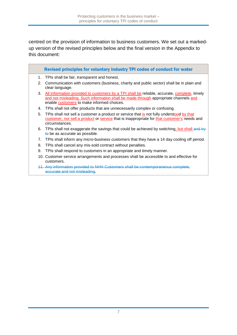centred on the provision of information to business customers. We set out a markedup version of the revised principles below and the final version in the Appendix to this document:

- 1. TPIs shall be fair, transparent and honest.
- 2. Communication with customers (business, charity and public sector) shall be in plain and clear language.
- 3. All information provided to customers by a TPI shall be reliable, accurate, complete, timely and not misleading. Such information shall be made through appropriate channels and enable customers to make informed choices.
- 4. TPIs shall not offer products that are unnecessarily complex or confusing.
- 5. TPIs shall not sell a customer a product or service that is not fully understood by that customer, nor sell a product or service that is inappropriate for that customer's needs and circumstances.
- 6. TPIs shall not exaggerate the savings that could be achieved by switching, but shall and try to be as accurate as possible.
- 7. TPIs shall inform any micro-business customers that they have a 14 day cooling off period.
- 8. TPIs shall cancel any mis-sold contract without penalties.
- 9. TPIs shall respond to customers in an appropriate and timely manner.
- 10. Customer service arrangements and processes shall be accessible to and effective for customers.
- 11. Any information provided to NHH Customers shall be contemporaneous complete, accurate and not misleading.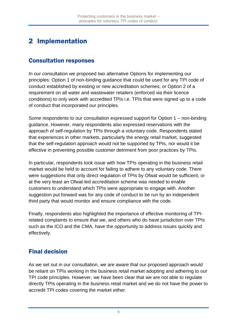## <span id="page-8-0"></span>2 Implementation

#### Consultation responses

In our consultation we proposed two alternative Options for implementing our principles: Option 1 of non-binding guidance that could be used for any TPI code of conduct established by existing or new accreditation schemes; or Option 2 of a requirement on all water and wastewater retailers (enforced via their licence conditions) to only work with accredited TPIs i.e. TPIs that were signed up to a code of conduct that incorporated our principles.

Some respondents to our consultation expressed support for Option 1 – non-binding guidance. However, many respondents also expressed reservations with the approach of self-regulation by TPIs through a voluntary code. Respondents stated that experiences in other markets, particularly the energy retail market, suggested that the self-regulation approach would not be supported by TPIs, nor would it be effective in preventing possible customer detriment from poor practices by TPIs.

In particular, respondents took issue with how TPIs operating in the business retail market would be held to account for failing to adhere to any voluntary code. There were suggestions that only direct regulation of TPIs by Ofwat would be sufficient, or at the very least an Ofwat-led accreditation scheme was needed to enable customers to understand which TPIs were appropriate to engage with. Another suggestion put forward was for any code of conduct to be run by an independent third party that would monitor and ensure compliance with the code.

Finally, respondents also highlighted the importance of effective monitoring of TPIrelated complaints to ensure that we, and others who do have jurisdiction over TPIs such as the ICO and the CMA, have the opportunity to address issues quickly and effectively.

### Final decision

As we set out in our consultation, we are aware that our proposed approach would be reliant on TPIs working in the business retail market adopting and adhering to our TPI code principles. However, we have been clear that we are not able to regulate directly TPIs operating in the business retail market and we do not have the power to accredit TPI codes covering the market either.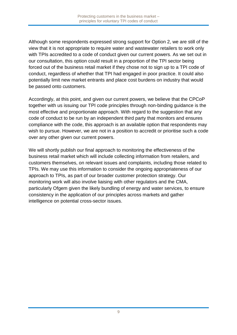Although some respondents expressed strong support for Option 2, we are still of the view that it is not appropriate to require water and wastewater retailers to work only with TPIs accredited to a code of conduct given our current powers. As we set out in our consultation, this option could result in a proportion of the TPI sector being forced out of the business retail market if they chose not to sign up to a TPI code of conduct, regardless of whether that TPI had engaged in poor practice. It could also potentially limit new market entrants and place cost burdens on industry that would be passed onto customers.

Accordingly, at this point, and given our current powers, we believe that the CPCoP together with us issuing our TPI code principles through non-binding guidance is the most effective and proportionate approach. With regard to the suggestion that any code of conduct to be run by an independent third party that monitors and ensures compliance with the code, this approach is an available option that respondents may wish to pursue. However, we are not in a position to accredit or prioritise such a code over any other given our current powers.

We will shortly publish our final approach to monitoring the effectiveness of the business retail market which will include collecting information from retailers, and customers themselves, on relevant issues and complaints, including those related to TPIs. We may use this information to consider the ongoing appropriateness of our approach to TPIs, as part of our broader customer protection strategy. Our monitoring work will also involve liaising with other regulators and the CMA, particularly Ofgem given the likely bundling of energy and water services, to ensure consistency in the application of our principles across markets and gather intelligence on potential cross-sector issues.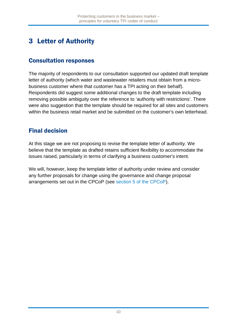## <span id="page-10-0"></span>3 Letter of Authority

#### Consultation responses

The majority of respondents to our consultation supported our updated draft template letter of authority (which water and wastewater retailers must obtain from a microbusiness customer where that customer has a TPI acting on their behalf). Respondents did suggest some additional changes to the draft template including removing possible ambiguity over the reference to 'authority with restrictions'. There were also suggestion that the template should be required for all sites and customers within the business retail market and be submitted on the customer's own letterhead.

#### Final decision

At this stage we are not proposing to revise the template letter of authority. We believe that the template as drafted retains sufficient flexibility to accommodate the issues raised, particularly in terms of clarifying a business customer's intent.

We will, however, keep the template letter of authority under review and consider any further proposals for change using the governance and change proposal arrangements set out in the CPCoP (see section 5 of the [CPCoP\)](http://www.ofwat.gov.uk/wp-content/uploads/2017/03/Customer-Protection-Code-of-Practice.pdf).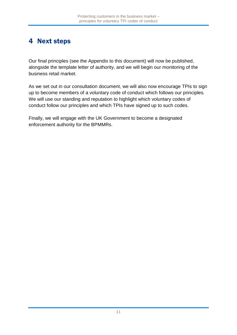### <span id="page-11-0"></span>4 Next steps

Our final principles (see the Appendix to this document) will now be published, alongside the template letter of authority, and we will begin our monitoring of the business retail market.

As we set out in our consultation document, we will also now encourage TPIs to sign up to become members of a voluntary code of conduct which follows our principles. We will use our standing and reputation to highlight which voluntary codes of conduct follow our principles and which TPIs have signed up to such codes.

Finally, we will engage with the UK Government to become a designated enforcement authority for the BPMMRs.